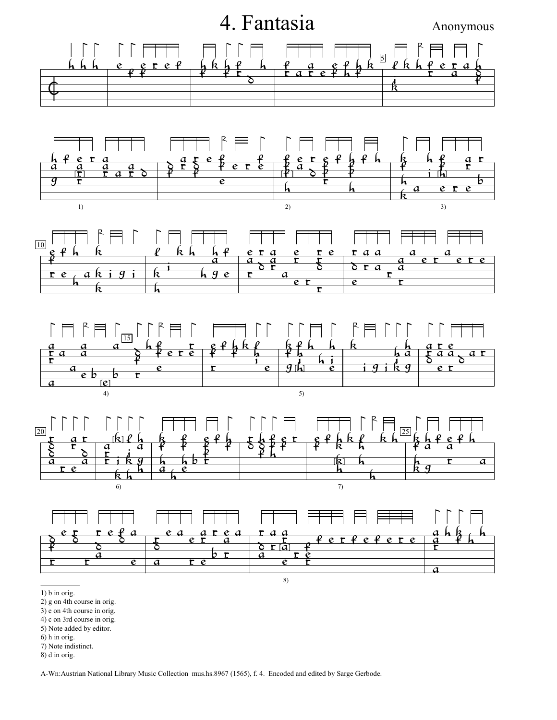

3) e on 4th course in orig.

4) c on 3rd course in orig.

5) Note added by editor.

6) h in orig.

7) Note indistinct.

8) d in orig.

A-Wn:Austrian National Library Music Collection mus.hs.8967 (1565), f. 4. Encoded and edited by Sarge Gerbode.